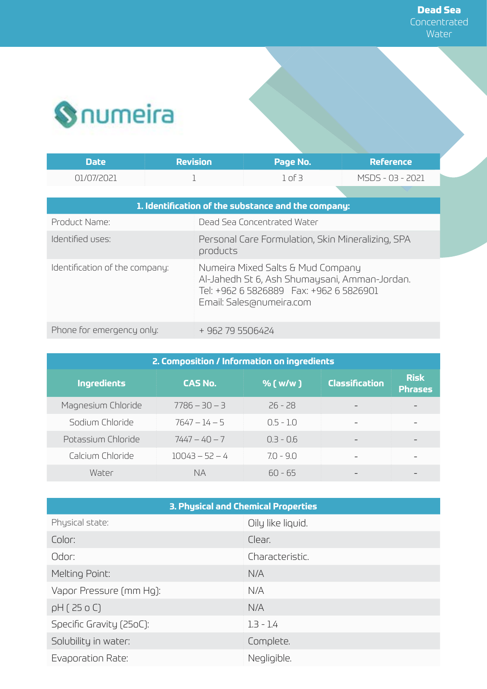

| Date'        | <b>Revision</b> | Page No. | <b>Reference</b> |
|--------------|-----------------|----------|------------------|
| וכחכולרחו וה |                 | c lo     | MSDS - 03 - 2021 |

| 1. Identification of the substance and the company: |                                                                                                                                                              |  |
|-----------------------------------------------------|--------------------------------------------------------------------------------------------------------------------------------------------------------------|--|
| Product Name:                                       | Dead Sea Concentrated Water                                                                                                                                  |  |
| Identified uses:                                    | Personal Care Formulation, Skin Mineralizing, SPA<br>products                                                                                                |  |
| Identification of the company:                      | Numeira Mixed Salts & Mud Company<br>Al-Jahedh St 6, Ash Shumaysani, Amman-Jordan.<br>Tel: +962 6 5826889    Fax: +962 6 5826901<br>Email: Sales@numeira.com |  |
| Phone for emergency only:                           | + 962 79 5506424                                                                                                                                             |  |

| 2. Composition / Information on ingredients |                  |             |                       |                               |
|---------------------------------------------|------------------|-------------|-----------------------|-------------------------------|
| Ingredients                                 | <b>CAS No.</b>   | % $(w/w)$   | <b>Classification</b> | <b>Risk</b><br><b>Phrases</b> |
| Magnesium Chloride                          | $7786 - 30 - 3$  | $26 - 28$   |                       |                               |
| Sodium Chloride                             | $7647 - 14 - 5$  | $0.5 - 1.0$ |                       |                               |
| Potassium Chloride                          | $7447 - 40 - 7$  | $0.3 - 0.6$ |                       |                               |
| Calcium Chloride                            | $10043 - 52 - 4$ | $7.0 - 9.0$ |                       |                               |
| Water                                       | <b>NA</b>        | $60 - 65$   |                       |                               |

| <b>3. Physical and Chemical Properties</b> |                   |  |  |
|--------------------------------------------|-------------------|--|--|
| Physical state:                            | Oily like liquid. |  |  |
| Color:                                     | Clear.            |  |  |
| Odor:                                      | Characteristic.   |  |  |
| Melting Point:                             | N/A               |  |  |
| Vapor Pressure (mm Hg):                    | N/A               |  |  |
| pH(250C)                                   | N/A               |  |  |
| Specific Gravity (25oC):                   | $1.3 - 1.4$       |  |  |
| Solubility in water:                       | Complete.         |  |  |
| Evaporation Rate:                          | Negligible.       |  |  |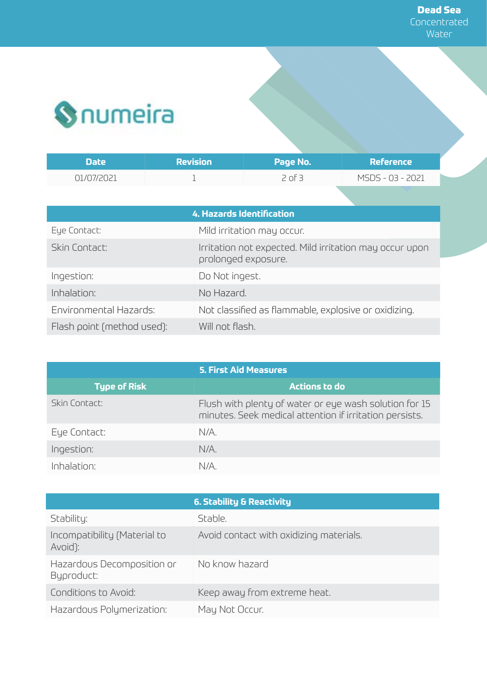

| Date       | <b>Revision</b> | Page No. | <b>Reference</b> |
|------------|-----------------|----------|------------------|
| 71/07/2021 |                 | 2 of 3   | MSDS - 03 - 2021 |

| <b>4. Hazards Identification</b> |                                                                                |  |  |
|----------------------------------|--------------------------------------------------------------------------------|--|--|
| Eye Contact:                     | Mild irritation may occur.                                                     |  |  |
| Skin Contact:                    | Irritation not expected. Mild irritation may occur upon<br>prolonged exposure. |  |  |
| Ingestion:                       | Do Not ingest.                                                                 |  |  |
| Inhalation:                      | No Hazard.                                                                     |  |  |
| Environmental Hazards:           | Not classified as flammable, explosive or oxidizing.                           |  |  |
| Flash point (method used):       | Will not flash.                                                                |  |  |

| <b>5. First Aid Measures</b> |                                                                                                                   |  |  |
|------------------------------|-------------------------------------------------------------------------------------------------------------------|--|--|
| <b>Type of Risk</b>          | <b>Actions to do</b>                                                                                              |  |  |
| Skin Contact:                | Flush with plenty of water or eye wash solution for 15<br>minutes. Seek medical attention if irritation persists. |  |  |
| Eye Contact:                 | $N/A$ .                                                                                                           |  |  |
| Ingestion:                   | $N/A$ .                                                                                                           |  |  |
| Inhalation:                  | N/A                                                                                                               |  |  |

|                                          | <b>6. Stability &amp; Reactivity</b>    |
|------------------------------------------|-----------------------------------------|
| Stability:                               | Stable.                                 |
| Incompatibility (Material to<br>Avoid):  | Avoid contact with oxidizing materials. |
| Hazardous Decomposition or<br>Byproduct: | No know hazard                          |
| Conditions to Avoid:                     | Keep away from extreme heat.            |
| Hazardous Polymerization:                | May Not Occur.                          |